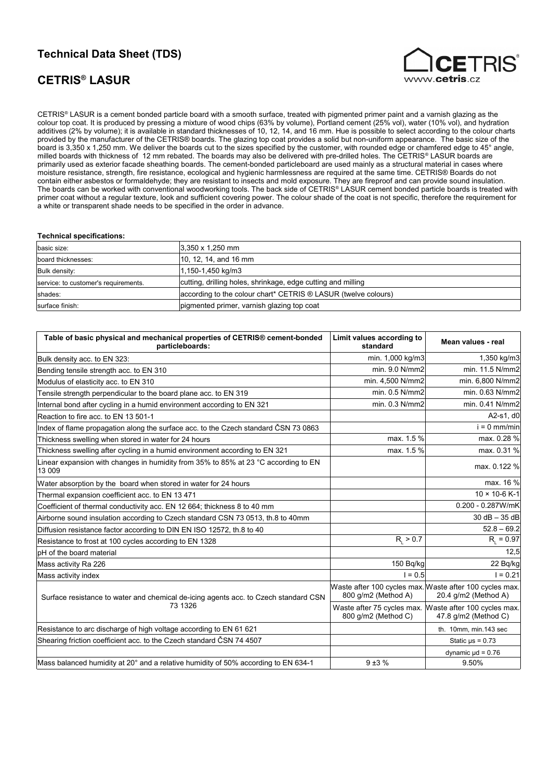# **Technical Data Sheet (TDS)**

## **CETRIS® LASUR**



CETRIS® LASUR is a cement bonded particle board with a smooth surface, treated with pigmented primer paint and a varnish glazing as the colour top coat. It is produced by pressing a mixture of wood chips (63% by volume), Portland cement (25% vol), water (10% vol), and hydration additives (2% by volume); it is available in standard thicknesses of 10, 12, 14, and 16 mm. Hue is possible to select according to the colour charts provided by the manufacturer of the CETRIS® boards. The glazing top coat provides a solid but non-uniform appearance. The basic size of the board is 3,350 x 1,250 mm. We deliver the boards cut to the sizes specified by the customer, with rounded edge or chamfered edge to 45° angle, milled boards with thickness of 12 mm rebated. The boards may also be delivered with pre-drilled holes. The CETRIS® LASUR boards are primarily used as exterior facade sheathing boards. The cement-bonded particleboard are used mainly as a structural material in cases where moisture resistance, strength, fire resistance, ecological and hygienic harmlessness are required at the same time. CETRIS® Boards do not contain either asbestos or formaldehyde; they are resistant to insects and mold exposure. They are fireproof and can provide sound insulation. The boards can be worked with conventional woodworking tools. The back side of CETRIS® LASUR cement bonded particle boards is treated with primer coat without a regular texture, look and sufficient covering power. The colour shade of the coat is not specific, therefore the requirement for a white or transparent shade needs to be specified in the order in advance.

#### **Technical specifications:**

| basic size:                          | $ 3,350 \times 1,250 \text{ mm} $                              |
|--------------------------------------|----------------------------------------------------------------|
| board thicknesses:                   | $ 10, 12, 14,$ and 16 mm                                       |
| Bulk density:                        | 1,150-1,450 kg/m3                                              |
| service: to customer's requirements. | cutting, drilling holes, shrinkage, edge cutting and milling   |
| shades:                              | according to the colour chart* CETRIS ® LASUR (twelve colours) |
| surface finish:                      | pigmented primer, varnish glazing top coat                     |

| Table of basic physical and mechanical properties of CETRIS® cement-bonded<br>particleboards: | Limit values according to<br>standard                                          | Mean values - real                                                             |
|-----------------------------------------------------------------------------------------------|--------------------------------------------------------------------------------|--------------------------------------------------------------------------------|
| Bulk density acc. to EN 323:                                                                  | min. 1,000 kg/m3                                                               | 1,350 kg/m3                                                                    |
| Bending tensile strength acc. to EN 310                                                       | min. 9.0 N/mm2                                                                 | min. 11.5 N/mm2                                                                |
| Modulus of elasticity acc. to EN 310                                                          | min. 4,500 N/mm2                                                               | min. 6,800 N/mm2                                                               |
| Tensile strength perpendicular to the board plane acc. to EN 319                              | min. 0.5 N/mm2                                                                 | min. 0.63 N/mm2                                                                |
| Internal bond after cycling in a humid environment according to EN 321                        | min. 0.3 N/mm2                                                                 | min. 0.41 N/mm2                                                                |
| Reaction to fire acc. to EN 13 501-1                                                          |                                                                                | A2-s1, d0                                                                      |
| Index of flame propagation along the surface acc. to the Czech standard ČSN 73 0863           |                                                                                | $i = 0$ mm/min                                                                 |
| Thickness swelling when stored in water for 24 hours                                          | max. 1.5 %                                                                     | max. 0.28 %                                                                    |
| Thickness swelling after cycling in a humid environment according to EN 321                   | max. 1.5 %                                                                     | max. 0.31 %                                                                    |
| Linear expansion with changes in humidity from 35% to 85% at 23 °C according to EN<br>13 009  |                                                                                | max. 0.122 %                                                                   |
| Water absorption by the board when stored in water for 24 hours                               |                                                                                | max. 16 %                                                                      |
| Thermal expansion coefficient acc. to EN 13 471                                               |                                                                                | 10 × 10-6 K-1                                                                  |
| Coefficient of thermal conductivity acc. EN 12 664; thickness 8 to 40 mm                      |                                                                                | $0.200 - 0.287W/mK$                                                            |
| Airborne sound insulation according to Czech standard CSN 73 0513, th.8 to 40mm               |                                                                                | $30 dB - 35 dB$                                                                |
| Diffusion resistance factor according to DIN EN ISO 12572, th.8 to 40                         |                                                                                | $52.8 - 69.2$                                                                  |
| Resistance to frost at 100 cycles according to EN 1328                                        | $R_{1} > 0.7$                                                                  | $R_{1} = 0.97$                                                                 |
| pH of the board material                                                                      |                                                                                | 12,5                                                                           |
| Mass activity Ra 226                                                                          | 150 Bq/kg                                                                      | 22 Bq/kg                                                                       |
| Mass activity index                                                                           | $1 = 0.5$                                                                      | $1 = 0.21$                                                                     |
| Surface resistance to water and chemical de-icing agents acc. to Czech standard CSN           | Waste after 100 cycles max. Waste after 100 cycles max.<br>800 g/m2 (Method A) | 20.4 g/m2 (Method A)                                                           |
| 73 1326                                                                                       | 800 g/m2 (Method C)                                                            | Waste after 75 cycles max. Waste after 100 cycles max.<br>47.8 g/m2 (Method C) |
| Resistance to arc discharge of high voltage according to EN 61 621                            |                                                                                | th. 10mm, min.143 sec                                                          |
| Shearing friction coefficient acc. to the Czech standard ČSN 74 4507                          |                                                                                | Static $\mu$ s = 0.73                                                          |
|                                                                                               |                                                                                | dynamic $\mu$ d = 0.76                                                         |
| Mass balanced humidity at 20° and a relative humidity of 50% according to EN 634-1            | $9 + 3%$                                                                       | 9.50%                                                                          |